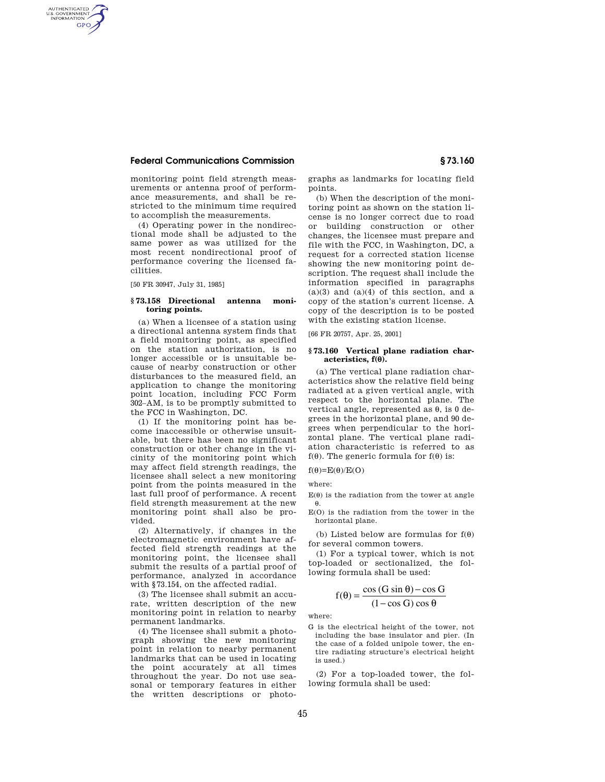## **Federal Communications Commission § 73.160**

monitoring point field strength measurements or antenna proof of performance measurements, and shall be restricted to the minimum time required to accomplish the measurements.

(4) Operating power in the nondirectional mode shall be adjusted to the same power as was utilized for the most recent nondirectional proof of performance covering the licensed facilities.

[50 FR 30947, July 31, 1985]

AUTHENTICATED<br>U.S. GOVERNMENT<br>INFORMATION GPO

### **§ 73.158 Directional antenna monitoring points.**

(a) When a licensee of a station using a directional antenna system finds that a field monitoring point, as specified on the station authorization, is no longer accessible or is unsuitable because of nearby construction or other disturbances to the measured field, an application to change the monitoring point location, including FCC Form 302–AM, is to be promptly submitted to the FCC in Washington, DC.

(1) If the monitoring point has become inaccessible or otherwise unsuitable, but there has been no significant construction or other change in the vicinity of the monitoring point which may affect field strength readings, the licensee shall select a new monitoring point from the points measured in the last full proof of performance. A recent field strength measurement at the new monitoring point shall also be provided.

(2) Alternatively, if changes in the electromagnetic environment have affected field strength readings at the monitoring point, the licensee shall submit the results of a partial proof of performance, analyzed in accordance with §73.154, on the affected radial.

(3) The licensee shall submit an accurate, written description of the new monitoring point in relation to nearby permanent landmarks.

(4) The licensee shall submit a photograph showing the new monitoring point in relation to nearby permanent landmarks that can be used in locating the point accurately at all times throughout the year. Do not use seasonal or temporary features in either the written descriptions or photographs as landmarks for locating field points.

(b) When the description of the monitoring point as shown on the station license is no longer correct due to road or building construction or other changes, the licensee must prepare and file with the FCC, in Washington, DC, a request for a corrected station license showing the new monitoring point description. The request shall include the information specified in paragraphs  $(a)(3)$  and  $(a)(4)$  of this section, and a copy of the station's current license. A copy of the description is to be posted with the existing station license.

[66 FR 20757, Apr. 25, 2001]

### **§ 73.160 Vertical plane radiation characteristics, f(**≠**).**

(a) The vertical plane radiation characteristics show the relative field being radiated at a given vertical angle, with respect to the horizontal plane. The vertical angle, represented as  $\theta$ , is 0 degrees in the horizontal plane, and 90 degrees when perpendicular to the horizontal plane. The vertical plane radiation characteristic is referred to as  $f(\theta)$ . The generic formula for  $f(\theta)$  is:

 $f(\theta)=E(\theta)/E(O)$ 

where:

 $\mathrm{E}(\theta)$  is the radiation from the tower at angle  $\theta$ 

E(O) is the radiation from the tower in the horizontal plane.

(b) Listed below are formulas for  $f(\theta)$ for several common towers.

(1) For a typical tower, which is not top-loaded or sectionalized, the following formula shall be used:

$$
f(\theta) = \frac{\cos(G \sin \theta) - \cos G}{(1 - \cos G) \cos \theta}
$$

where:

G is the electrical height of the tower, not including the base insulator and pier. (In the case of a folded unipole tower, the entire radiating structure's electrical height is used.)

(2) For a top-loaded tower, the following formula shall be used: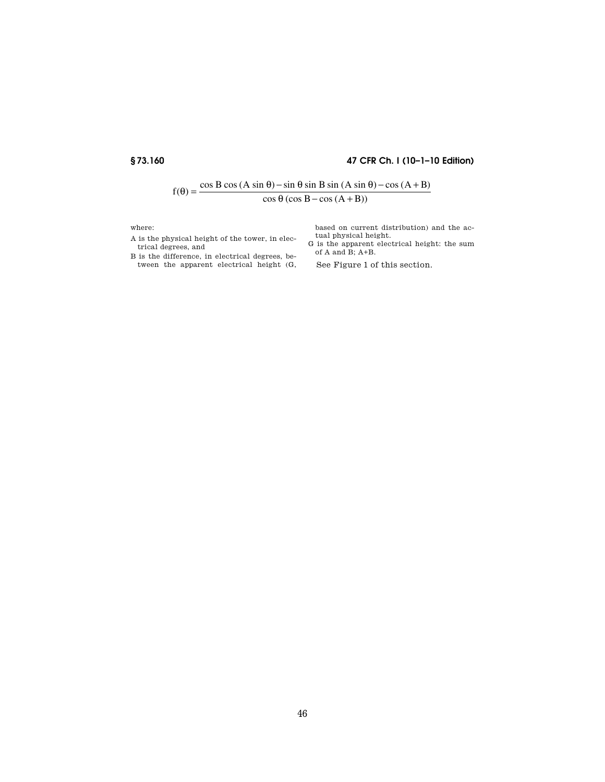# **§ 73.160 47 CFR Ch. I (10–1–10 Edition)**

$$
f(\theta) = \frac{\cos B \cos (A \sin \theta) - \sin \theta \sin B \sin (A \sin \theta) - \cos (A + B)}{\cos \theta (\cos B - \cos (A + B))}
$$

where:

- A is the physical height of the tower, in electrical degrees, and
- B is the difference, in electrical degrees, between the apparent electrical height (G,

based on current distribution) and the actual physical height.

G is the apparent electrical height: the sum of A and B; A+B.

See Figure 1 of this section.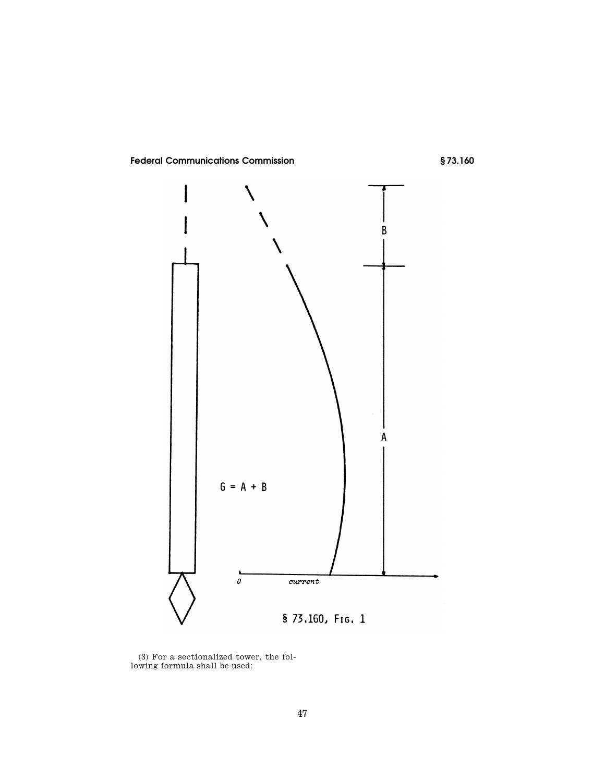

(3) For a sectionalized tower, the following formula shall be used: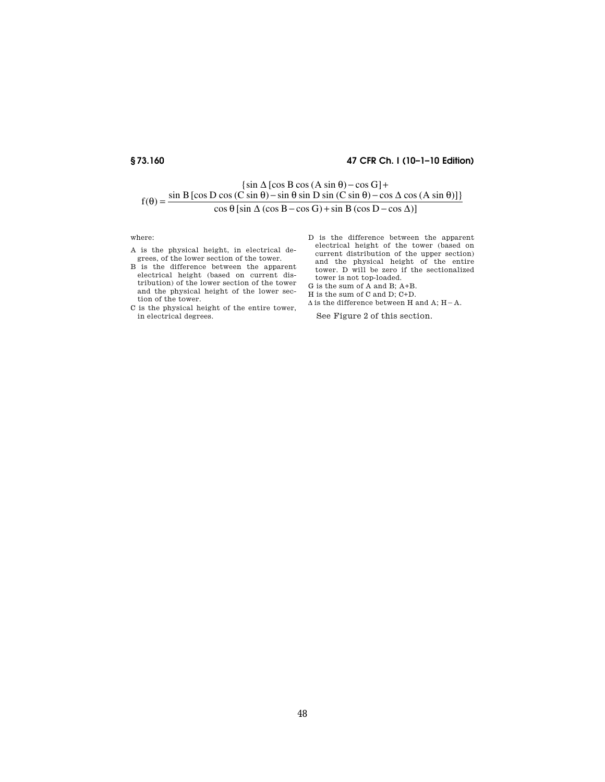## **§ 73.160 47 CFR Ch. I (10–1–10 Edition)**

$$
\{\sin \Delta [\cos B \cos (A \sin \theta) - \cos G] +
$$
  

$$
f(\theta) = \frac{\sin B [\cos D \cos (C \sin \theta) - \sin \theta \sin D \sin (C \sin \theta) - \cos \Delta \cos (A \sin \theta)]\}}{\cos \theta [\sin \Delta (\cos B - \cos G) + \sin B (\cos D - \cos \Delta)]}
$$

where:

- A is the physical height, in electrical degrees, of the lower section of the tower.
- B is the difference between the apparent electrical height (based on current distribution) of the lower section of the tower and the physical height of the lower section of the tower.
- C is the physical height of the entire tower, in electrical degrees.
- D is the difference between the apparent electrical height of the tower (based on current distribution of the upper section) and the physical height of the entire tower. D will be zero if the sectionalized tower is not top-loaded.
- G is the sum of A and B; A+B.
- H is the sum of C and D; C+D.
- $\Delta$  is the difference between H and A; H-A.

See Figure 2 of this section.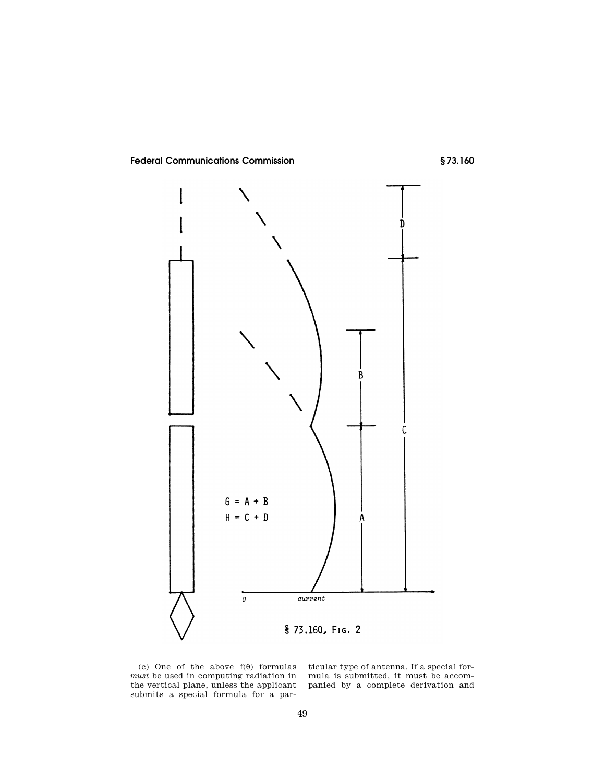

## **Federal Communications Commission § 73.160**

(c) One of the above  $f(\theta)$  formulas *must* be used in computing radiation in the vertical plane, unless the applicant submits a special formula for a par-

ticular type of antenna. If a special formula is submitted, it must be accompanied by a complete derivation and